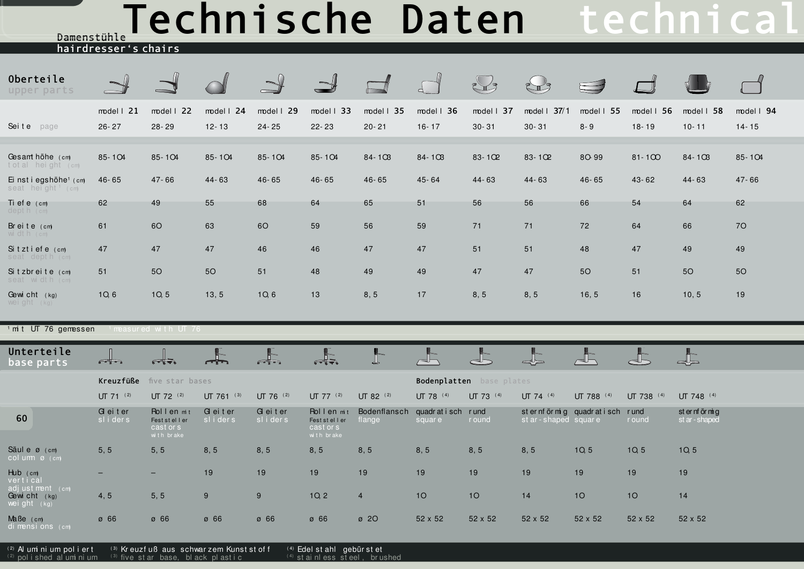## Technische Daten technical Damenstühle

hairdresser's chairs

| Oberteile<br>upper parts                                      |                              |                          |                                                                                          |                                                                                          |                                  |                  |                             | $\sum_{i=1}^{n}$ |                              |               |               |             |                  |
|---------------------------------------------------------------|------------------------------|--------------------------|------------------------------------------------------------------------------------------|------------------------------------------------------------------------------------------|----------------------------------|------------------|-----------------------------|------------------|------------------------------|---------------|---------------|-------------|------------------|
|                                                               | $model$   21                 | $model$   22             | model $1, 24$                                                                            | model $\vert$ 29                                                                         | model $\vert$ 33                 | model $\vert$ 35 | model $\vert$ 36            | model   37       | model   37/1                 | model $1\,55$ | model $1\,56$ | model 1 58  | model $\vert$ 94 |
| Seite page                                                    | $26 - 27$                    | $28 - 29$                | $12 - 13$                                                                                | $24 - 25$                                                                                | $22 - 23$                        | $20 - 21$        | $16 - 17$                   | $30 - 31$        | $30 - 31$                    | $8 - 9$       | $18 - 19$     | $10 - 11$   | $14 - 15$        |
|                                                               |                              |                          |                                                                                          |                                                                                          |                                  |                  |                             |                  |                              |               |               |             |                  |
| Gesamt höhe (cm)<br>total height (cm)                         | 85-104                       | 85-104                   | 85-104                                                                                   | 85-104                                                                                   | 85-104                           | $84 - 103$       | $84 - 103$                  | 83-102           | 83-102                       | 8O-99         | $81 - 100$    | $84 - 10B$  | 85-104           |
| Ei nst i egshöhe <sup>1</sup> (cm)<br>seat height cm          | $46 - 65$                    | $47 - 66$                | 44-63                                                                                    | $46 - 65$                                                                                | $46 - 65$                        | $46 - 65$        | 45-64                       | 44-63            | 44-63                        | $46 - 65$     | 43-62         | $44 - 63$   | $47 - 66$        |
| Ti ef e (cm)<br>$depth$ ( $cm$ )                              | 62                           | 49                       | 55                                                                                       | 68                                                                                       | 64                               | 65               | 51                          | 56               | 56                           | 66            | 54            | 64          | 62               |
| Breite (cm)<br>width (cm)                                     | 61                           | <b>6O</b>                | 63                                                                                       | 60                                                                                       | 59                               | 56               | 59                          | 71               | 71                           | 72            | 64            | 66          | 70               |
| Sitztiefe (cm)<br>seat depth (cm)                             | 47                           | 47                       | 47                                                                                       | 46                                                                                       | 46                               | 47               | 47                          | 51               | 51                           | 48            | 47            | 49          | 49               |
| Sitzbreite (cm)<br>seat width (cm)                            | 51                           | 50                       | 50                                                                                       | 51                                                                                       | 48                               | 49               | 49                          | 47               | 47                           | <b>50</b>     | 51            | 50          | 50               |
| Gewicht (kg)<br>weight $(kg)$                                 | 1Q, 6                        | 10, 5                    | 13, 5                                                                                    | 10, 6                                                                                    | 13                               | 8, 5             | 17                          | 8, 5             | 8, 5                         | 16, 5         | 16            | 10, 5       | 19               |
|                                                               |                              |                          |                                                                                          |                                                                                          |                                  |                  |                             |                  |                              |               |               |             |                  |
| $1$ mit UT 76 gemessen<br>$^{\rm I}$ measured with UT 76 $\,$ |                              |                          |                                                                                          |                                                                                          |                                  |                  |                             |                  |                              |               |               |             |                  |
| Unterteile<br>base parts                                      | Fin                          | $\sqrt{1 + \frac{1}{2}}$ | $\begin{array}{c} \begin{array}{c} \begin{array}{c} \end{array} \end{array} \end{array}$ | $\begin{array}{c} \begin{array}{c} \begin{array}{c} \end{array} \end{array} \end{array}$ | $\frac{1}{\sqrt{1-\frac{1}{2}}}$ |                  | $\sqrt{2}$                  |                  |                              |               |               | ▟⋝          |                  |
|                                                               | Kreuzfüße<br>five star bases |                          |                                                                                          |                                                                                          |                                  |                  | Bodenplatten<br>base plates |                  |                              |               |               |             |                  |
|                                                               | $UT 71$ (2)                  | UT 72 (2)                | UT 761 (3)                                                                               | UT 76 (2)                                                                                | $UT 77$ <sup>(2)</sup>           | UT 82 (2)        | UT 78 (4)                   | UT 73 (4)        | UT 74 (4)                    | UT 788 (4)    | UT 738 (4)    | UT 748 (4)  |                  |
|                                                               | Geiter                       | Rollen mit               | G ei t er                                                                                | Geiter                                                                                   | Rollen mit                       | Bodenflansch     | quadratisch rund            |                  | sternförmig quadratisch rund |               |               | sternförmig |                  |

| 60                                             | $G$ errer<br>sliders     | <b>NUILEIMI</b><br>Fest st el I er<br>cast or s | GULU<br>sliders | $G$ er t er<br>sliders | <b>NUILEILMI</b><br>Fest steller<br>cast or s | DUUBIIII AIISUI YUUU ALI SUIT<br>flange | square  | <b>I</b> ullu<br>r ound | st ar - shaped square | Sterm onling quadratisci rund | r ound          | SUCTION<br>st ar - shaped |
|------------------------------------------------|--------------------------|-------------------------------------------------|-----------------|------------------------|-----------------------------------------------|-----------------------------------------|---------|-------------------------|-----------------------|-------------------------------|-----------------|---------------------------|
| Säul e ø (cm)<br>$col$ um $\emptyset$ (cm)     | 5, 5                     | with brake<br>5, 5                              | 8, 5            | 8,5                    | with brake<br>8, 5                            | 8, 5                                    | 8, 5    | 8, 5                    | 8, 5                  | 10, 5                         | 1Q <sub>5</sub> | 10, 5                     |
| Hub (cm)<br>vertical                           | $\overline{\phantom{0}}$ | $\overline{\phantom{0}}$                        | 19              | 19                     | 19                                            | 19                                      | 19      | 19                      | 19                    | 19                            | 19              | 19                        |
| adjustment (cm)<br>Gewicht (kg)<br>weight (kg) | 4,5                      | 5, 5                                            | 9               | 9                      | 10, 2                                         | 4                                       | 10      | 10                      | 14                    | 10                            | 10              | 14                        |
| $M\text{a}$ Be $(m)$<br>di mensions (cm)       | Ø 66                     | Ø 66                                            | Ø 66            | Ø 66                   | Ø 66                                          | $\varnothing$ 20                        | 52 x 52 | 52 x 52                 | 52 x 52               | 52 x 52                       | 52 x 52         | 52 x 52                   |